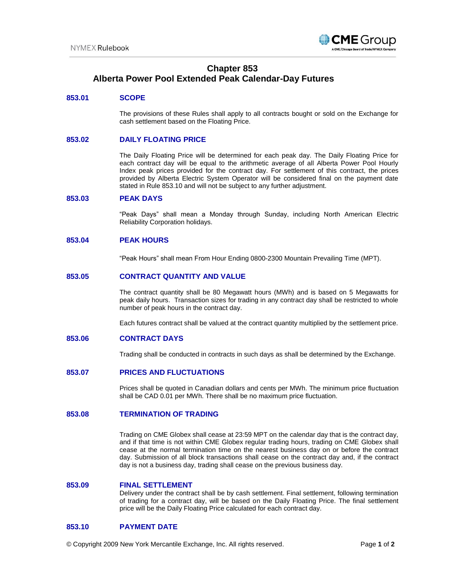

# **Chapter 853 Alberta Power Pool Extended Peak Calendar-Day Futures**

# **853.01 SCOPE**

The provisions of these Rules shall apply to all contracts bought or sold on the Exchange for cash settlement based on the Floating Price.

### **853.02 DAILY FLOATING PRICE**

The Daily Floating Price will be determined for each peak day. The Daily Floating Price for each contract day will be equal to the arithmetic average of all Alberta Power Pool Hourly Index peak prices provided for the contract day. For settlement of this contract, the prices provided by Alberta Electric System Operator will be considered final on the payment date stated in Rule 853.10 and will not be subject to any further adjustment.

#### **853.03 PEAK DAYS**

"Peak Days" shall mean a Monday through Sunday, including North American Electric Reliability Corporation holidays.

#### **853.04 PEAK HOURS**

"Peak Hours" shall mean From Hour Ending 0800-2300 Mountain Prevailing Time (MPT).

# **853.05 CONTRACT QUANTITY AND VALUE**

The contract quantity shall be 80 Megawatt hours (MWh) and is based on 5 Megawatts for peak daily hours. Transaction sizes for trading in any contract day shall be restricted to whole number of peak hours in the contract day.

Each futures contract shall be valued at the contract quantity multiplied by the settlement price.

#### **853.06 CONTRACT DAYS**

Trading shall be conducted in contracts in such days as shall be determined by the Exchange.

#### **853.07 PRICES AND FLUCTUATIONS**

Prices shall be quoted in Canadian dollars and cents per MWh. The minimum price fluctuation shall be CAD 0.01 per MWh. There shall be no maximum price fluctuation.

# **853.08 TERMINATION OF TRADING**

Trading on CME Globex shall cease at 23:59 MPT on the calendar day that is the contract day, and if that time is not within CME Globex regular trading hours, trading on CME Globex shall cease at the normal termination time on the nearest business day on or before the contract day. Submission of all block transactions shall cease on the contract day and, if the contract day is not a business day, trading shall cease on the previous business day.

#### **853.09 FINAL SETTLEMENT**

Delivery under the contract shall be by cash settlement. Final settlement, following termination of trading for a contract day, will be based on the Daily Floating Price. The final settlement price will be the Daily Floating Price calculated for each contract day.

#### **853.10 PAYMENT DATE**

© Copyright 2009 New York Mercantile Exchange, Inc. All rights reserved. Page **1** of **2**